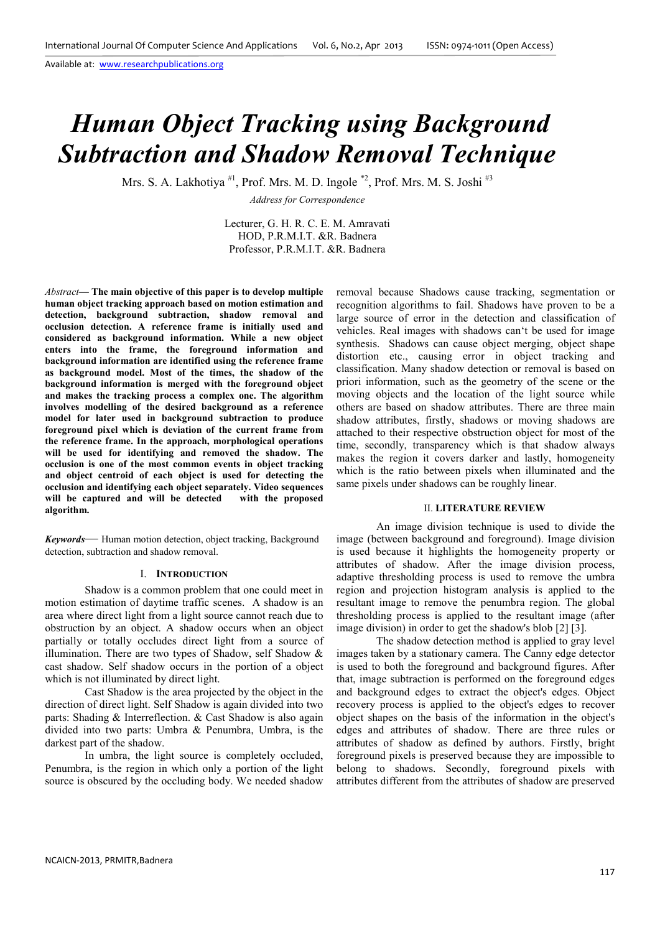# *Human Object Tracking using Background Subtraction and Shadow Removal Technique*

Mrs. S. A. Lakhotiya  $^{#1}$ , Prof. Mrs. M. D. Ingole  $^{*2}$ , Prof. Mrs. M. S. Joshi<sup> $^{#3}$ </sup>

*Address for Correspondence* 

Lecturer, G. H. R. C. E. M. Amravati HOD, P.R.M.I.T. &R. Badnera Professor, P.R.M.I.T. &R. Badnera

*Abstract***— The main objective of this paper is to develop multiple human object tracking approach based on motion estimation and detection, background subtraction, shadow removal and occlusion detection. A reference frame is initially used and considered as background information. While a new object enters into the frame, the foreground information and background information are identified using the reference frame as background model. Most of the times, the shadow of the background information is merged with the foreground object and makes the tracking process a complex one. The algorithm involves modelling of the desired background as a reference model for later used in background subtraction to produce foreground pixel which is deviation of the current frame from the reference frame. In the approach, morphological operations will be used for identifying and removed the shadow. The occlusion is one of the most common events in object tracking and object centroid of each object is used for detecting the occlusion and identifying each object separately. Video sequences**  will be captured and will be detected **algorithm.** 

*Keywords*— Human motion detection, object tracking, Background detection, subtraction and shadow removal.

## I. **INTRODUCTION**

 Shadow is a common problem that one could meet in motion estimation of daytime traffic scenes. A shadow is an area where direct light from a light source cannot reach due to obstruction by an object. A shadow occurs when an object partially or totally occludes direct light from a source of illumination. There are two types of Shadow, self Shadow & cast shadow. Self shadow occurs in the portion of a object which is not illuminated by direct light.

 Cast Shadow is the area projected by the object in the direction of direct light. Self Shadow is again divided into two parts: Shading & Interreflection. & Cast Shadow is also again divided into two parts: Umbra & Penumbra, Umbra, is the darkest part of the shadow.

 In umbra, the light source is completely occluded, Penumbra, is the region in which only a portion of the light source is obscured by the occluding body. We needed shadow

removal because Shadows cause tracking, segmentation or recognition algorithms to fail. Shadows have proven to be a large source of error in the detection and classification of vehicles. Real images with shadows can't be used for image synthesis. Shadows can cause object merging, object shape distortion etc., causing error in object tracking and classification. Many shadow detection or removal is based on priori information, such as the geometry of the scene or the moving objects and the location of the light source while others are based on shadow attributes. There are three main shadow attributes, firstly, shadows or moving shadows are attached to their respective obstruction object for most of the time, secondly, transparency which is that shadow always makes the region it covers darker and lastly, homogeneity which is the ratio between pixels when illuminated and the same pixels under shadows can be roughly linear.

## II. **LITERATURE REVIEW**

An image division technique is used to divide the image (between background and foreground). Image division is used because it highlights the homogeneity property or attributes of shadow. After the image division process, adaptive thresholding process is used to remove the umbra region and projection histogram analysis is applied to the resultant image to remove the penumbra region. The global thresholding process is applied to the resultant image (after image division) in order to get the shadow's blob [2] [3].

The shadow detection method is applied to gray level images taken by a stationary camera. The Canny edge detector is used to both the foreground and background figures. After that, image subtraction is performed on the foreground edges and background edges to extract the object's edges. Object recovery process is applied to the object's edges to recover object shapes on the basis of the information in the object's edges and attributes of shadow. There are three rules or attributes of shadow as defined by authors. Firstly, bright foreground pixels is preserved because they are impossible to belong to shadows. Secondly, foreground pixels with attributes different from the attributes of shadow are preserved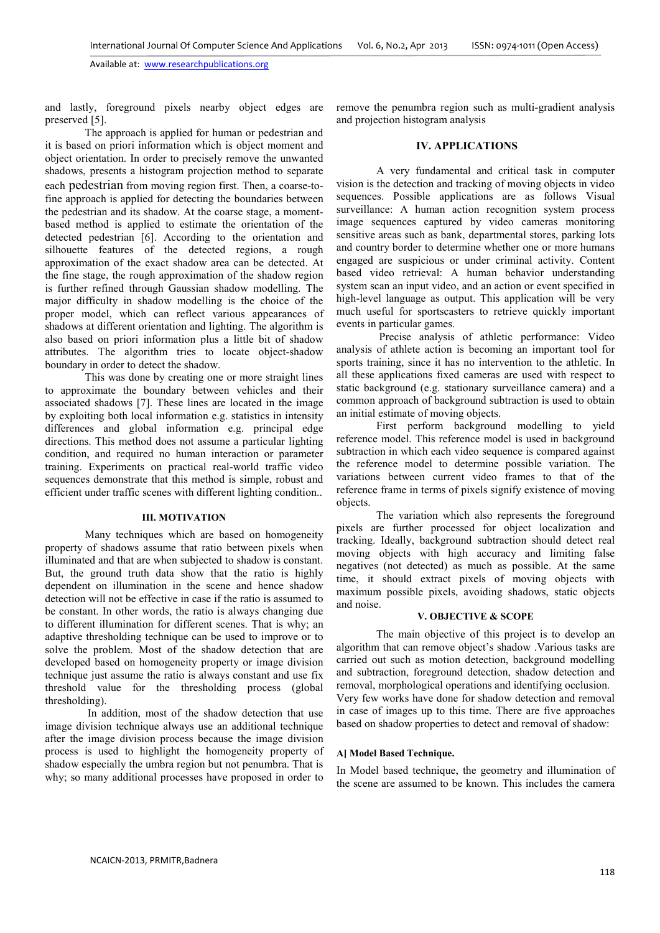and lastly, foreground pixels nearby object edges are preserved [5].

The approach is applied for human or pedestrian and it is based on priori information which is object moment and object orientation. In order to precisely remove the unwanted shadows, presents a histogram projection method to separate each pedestrian from moving region first. Then, a coarse-tofine approach is applied for detecting the boundaries between the pedestrian and its shadow. At the coarse stage, a momentbased method is applied to estimate the orientation of the detected pedestrian [6]. According to the orientation and silhouette features of the detected regions, a rough approximation of the exact shadow area can be detected. At the fine stage, the rough approximation of the shadow region is further refined through Gaussian shadow modelling. The major difficulty in shadow modelling is the choice of the proper model, which can reflect various appearances of shadows at different orientation and lighting. The algorithm is also based on priori information plus a little bit of shadow attributes. The algorithm tries to locate object-shadow boundary in order to detect the shadow.

This was done by creating one or more straight lines to approximate the boundary between vehicles and their associated shadows [7]. These lines are located in the image by exploiting both local information e.g. statistics in intensity differences and global information e.g. principal edge directions. This method does not assume a particular lighting condition, and required no human interaction or parameter training. Experiments on practical real-world traffic video sequences demonstrate that this method is simple, robust and efficient under traffic scenes with different lighting condition..

# **III. MOTIVATION**

Many techniques which are based on homogeneity property of shadows assume that ratio between pixels when illuminated and that are when subjected to shadow is constant. But, the ground truth data show that the ratio is highly dependent on illumination in the scene and hence shadow detection will not be effective in case if the ratio is assumed to be constant. In other words, the ratio is always changing due to different illumination for different scenes. That is why; an adaptive thresholding technique can be used to improve or to solve the problem. Most of the shadow detection that are developed based on homogeneity property or image division technique just assume the ratio is always constant and use fix threshold value for the thresholding process (global thresholding).

 In addition, most of the shadow detection that use image division technique always use an additional technique after the image division process because the image division process is used to highlight the homogeneity property of shadow especially the umbra region but not penumbra. That is why; so many additional processes have proposed in order to

remove the penumbra region such as multi-gradient analysis and projection histogram analysis

# **IV. APPLICATIONS**

A very fundamental and critical task in computer vision is the detection and tracking of moving objects in video sequences. Possible applications are as follows Visual surveillance: A human action recognition system process image sequences captured by video cameras monitoring sensitive areas such as bank, departmental stores, parking lots and country border to determine whether one or more humans engaged are suspicious or under criminal activity. Content based video retrieval: A human behavior understanding system scan an input video, and an action or event specified in high-level language as output. This application will be very much useful for sportscasters to retrieve quickly important events in particular games.

 Precise analysis of athletic performance: Video analysis of athlete action is becoming an important tool for sports training, since it has no intervention to the athletic. In all these applications fixed cameras are used with respect to static background (e.g. stationary surveillance camera) and a common approach of background subtraction is used to obtain an initial estimate of moving objects.

 First perform background modelling to yield reference model. This reference model is used in background subtraction in which each video sequence is compared against the reference model to determine possible variation. The variations between current video frames to that of the reference frame in terms of pixels signify existence of moving objects.

 The variation which also represents the foreground pixels are further processed for object localization and tracking. Ideally, background subtraction should detect real moving objects with high accuracy and limiting false negatives (not detected) as much as possible. At the same time, it should extract pixels of moving objects with maximum possible pixels, avoiding shadows, static objects and noise.

# **V. OBJECTIVE & SCOPE**

The main objective of this project is to develop an algorithm that can remove object's shadow .Various tasks are carried out such as motion detection, background modelling and subtraction, foreground detection, shadow detection and removal, morphological operations and identifying occlusion. Very few works have done for shadow detection and removal in case of images up to this time. There are five approaches based on shadow properties to detect and removal of shadow:

# **A] Model Based Technique.**

In Model based technique, the geometry and illumination of the scene are assumed to be known. This includes the camera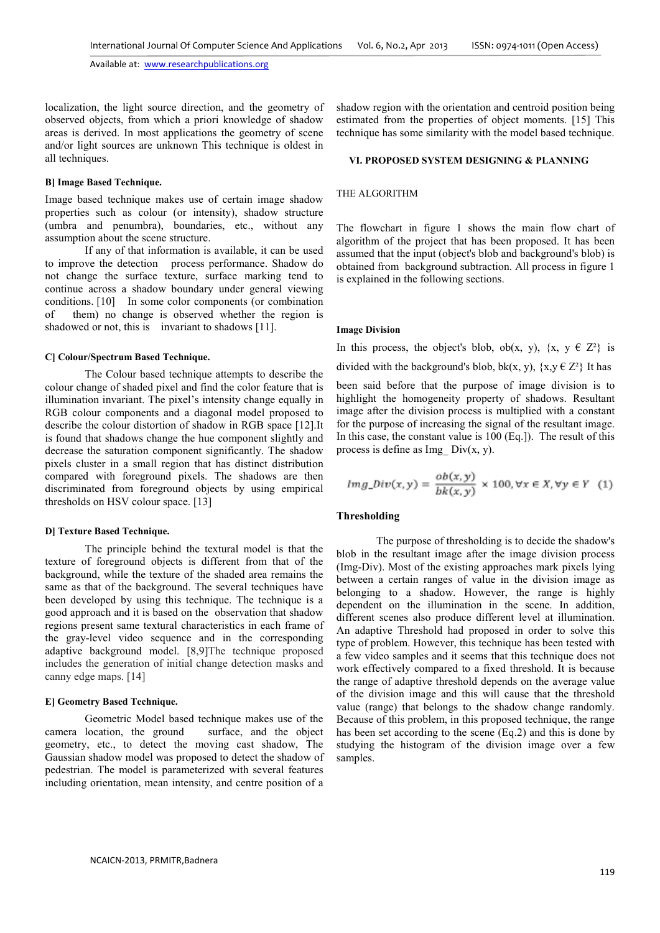localization, the light source direction, and the geometry of observed objects, from which a priori knowledge of shadow areas is derived. In most applications the geometry of scene and/or light sources are unknown This technique is oldest in all techniques.

# **B] Image Based Technique.**

Image based technique makes use of certain image shadow properties such as colour (or intensity), shadow structure (umbra and penumbra), boundaries, etc., without any assumption about the scene structure.

 If any of that information is available, it can be used to improve the detection process performance. Shadow do not change the surface texture, surface marking tend to continue across a shadow boundary under general viewing conditions. [10] In some color components (or combination of them) no change is observed whether the region is shadowed or not, this is invariant to shadows [11].

# **C] Colour/Spectrum Based Technique.**

The Colour based technique attempts to describe the colour change of shaded pixel and find the color feature that is illumination invariant. The pixel's intensity change equally in RGB colour components and a diagonal model proposed to describe the colour distortion of shadow in RGB space [12].It is found that shadows change the hue component slightly and decrease the saturation component significantly. The shadow pixels cluster in a small region that has distinct distribution compared with foreground pixels. The shadows are then discriminated from foreground objects by using empirical thresholds on HSV colour space. [13]

#### **D] Texture Based Technique.**

The principle behind the textural model is that the texture of foreground objects is different from that of the background, while the texture of the shaded area remains the same as that of the background. The several techniques have been developed by using this technique. The technique is a good approach and it is based on the observation that shadow regions present same textural characteristics in each frame of the gray-level video sequence and in the corresponding adaptive background model. [8,9]The technique proposed includes the generation of initial change detection masks and canny edge maps. [14]

# **E] Geometry Based Technique.**

Geometric Model based technique makes use of the camera location, the ground surface, and the object geometry, etc., to detect the moving cast shadow, The Gaussian shadow model was proposed to detect the shadow of pedestrian. The model is parameterized with several features including orientation, mean intensity, and centre position of a shadow region with the orientation and centroid position being estimated from the properties of object moments. [15] This technique has some similarity with the model based technique.

# **VI. PROPOSED SYSTEM DESIGNING & PLANNING**

# THE ALGORITHM

The flowchart in figure 1 shows the main flow chart of algorithm of the project that has been proposed. It has been assumed that the input (object's blob and background's blob) is obtained from background subtraction. All process in figure 1 is explained in the following sections.

#### **Image Division**

In this process, the object's blob, ob(x, y),  $\{x, y \in \mathbb{Z}^2\}$  is divided with the background's blob, bk(x, y),  $\{x, y \in \mathbb{Z}^2\}$  It has been said before that the purpose of image division is to highlight the homogeneity property of shadows. Resultant

image after the division process is multiplied with a constant for the purpose of increasing the signal of the resultant image. In this case, the constant value is 100 (Eq.]). The result of this process is define as  $Img$  Div(x, y).

$$
Img\_Div(x, y) = \frac{ob(x, y)}{bk(x, y)} \times 100, \forall x \in X, \forall y \in Y \quad (1)
$$

# **Thresholding**

The purpose of thresholding is to decide the shadow's blob in the resultant image after the image division process (Img-Div). Most of the existing approaches mark pixels lying between a certain ranges of value in the division image as belonging to a shadow. However, the range is highly dependent on the illumination in the scene. In addition, different scenes also produce different level at illumination. An adaptive Threshold had proposed in order to solve this type of problem. However, this technique has been tested with a few video samples and it seems that this technique does not work effectively compared to a fixed threshold. It is because the range of adaptive threshold depends on the average value of the division image and this will cause that the threshold value (range) that belongs to the shadow change randomly. Because of this problem, in this proposed technique, the range has been set according to the scene (Eq.2) and this is done by studying the histogram of the division image over a few samples.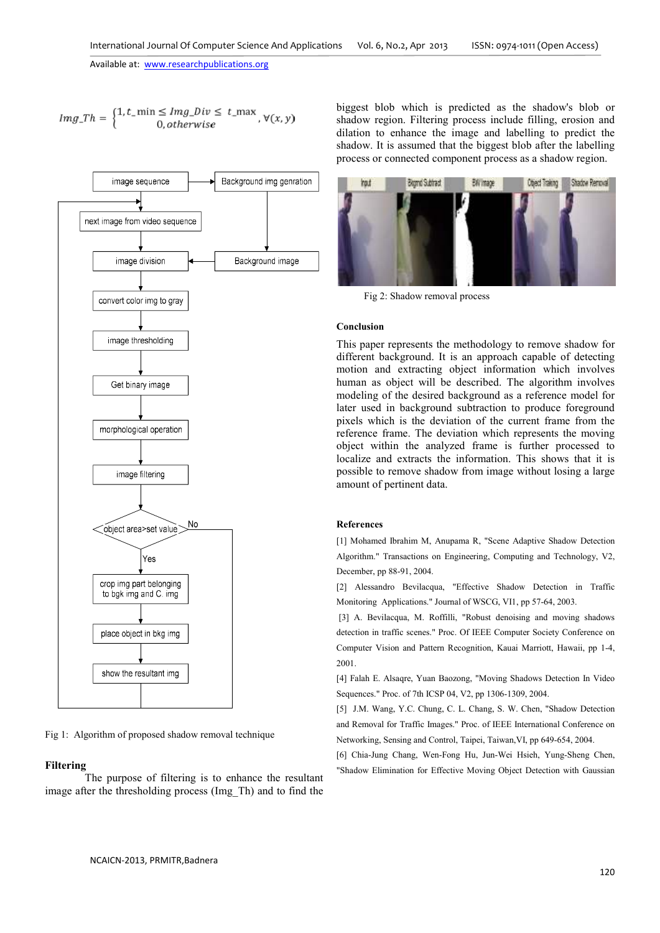$$
Im g\_Th = \begin{cases} 1, t\_min \leq Im g\_Div \leq t\_max, \\ 0, otherwise \end{cases}, \forall (x, y)
$$



Fig 1: Algorithm of proposed shadow removal technique

# **Filtering**

The purpose of filtering is to enhance the resultant image after the thresholding process (Img\_Th) and to find the

biggest blob which is predicted as the shadow's blob or shadow region. Filtering process include filling, erosion and dilation to enhance the image and labelling to predict the shadow. It is assumed that the biggest blob after the labelling process or connected component process as a shadow region.



Fig 2: Shadow removal process

# **Conclusion**

This paper represents the methodology to remove shadow for different background. It is an approach capable of detecting motion and extracting object information which involves human as object will be described. The algorithm involves modeling of the desired background as a reference model for later used in background subtraction to produce foreground pixels which is the deviation of the current frame from the reference frame. The deviation which represents the moving object within the analyzed frame is further processed to localize and extracts the information. This shows that it is possible to remove shadow from image without losing a large amount of pertinent data.

#### **References**

[1] Mohamed Ibrahim M, Anupama R, "Scene Adaptive Shadow Detection Algorithm." Transactions on Engineering, Computing and Technology, V2, December, pp 88-91, 2004.

[2] Alessandro Bevilacqua, "Effective Shadow Detection in Traffic Monitoring Applications." Journal of WSCG, VI1, pp 57-64, 2003.

 [3] A. Bevilacqua, M. Roffilli, "Robust denoising and moving shadows detection in traffic scenes." Proc. Of IEEE Computer Society Conference on Computer Vision and Pattern Recognition, Kauai Marriott, Hawaii, pp 1-4, 2001.

[4] Falah E. Alsaqre, Yuan Baozong, "Moving Shadows Detection In Video Sequences." Proc. of 7th ICSP 04, V2, pp 1306-1309, 2004.

[5] J.M. Wang, Y.C. Chung, C. L. Chang, S. W. Chen, "Shadow Detection and Removal for Traffic Images." Proc. of IEEE International Conference on Networking, Sensing and Control, Taipei, Taiwan,VI, pp 649-654, 2004.

[6] Chia-Jung Chang, Wen-Fong Hu, Jun-Wei Hsieh, Yung-Sheng Chen, "Shadow Elimination for Effective Moving Object Detection with Gaussian